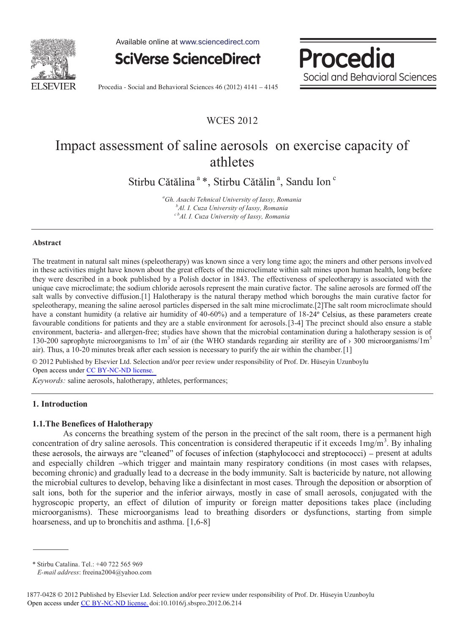

Available online at www.sciencedirect.com



Procedia Social and Behavioral Sciences

Procedia - Social and Behavioral Sciences 46 (2012) 4141 - 4145

# WCES 2012

# Impact assessment of saline aerosols on exercise capacity of athletes

Stirbu Cătălina<sup>a</sup>\*, Stirbu Cătălin<sup>a</sup>, Sandu Ion<sup>c</sup>

*a Gh. Asachi Tehnical University of Iassy, Romania b* <sup>*b*</sup>Al. I. Cuza University of Iassy, Romania *c bAl. I. Cuza University of Iassy, Romania* 

### **Abstract**

The treatment in natural salt mines (speleotherapy) was known since a very long time ago; the miners and other persons involved in these activities might have known about the great effects of the microclimate within salt mines upon human health, long before they were described in a book published by a Polish doctor in 1843. The effectiveness of speleotherapy is associated with the unique cave microclimate; the sodium chloride aerosols represent the main curative factor. The saline aerosols are formed off the salt walls by convective diffusion.[1] Halotherapy is the natural therapy method which boroughs the main curative factor for speleotherapy, meaning the saline aerosol particles dispersed in the salt mine microclimate.[2]The salt room microclimate should have a constant humidity (a relative air humidity of  $40-60%$ ) and a temperature of  $18-24°$  Celsius, as these parameters create favourable conditions for patients and they are a stable environment for aerosols.[3-4] The precinct should also ensure a stable environment, bacteria- and allergen-free; studies have shown that the microbial contamination during a halotherapy session is of 130-200 saprophyte microorganisms to  $1m<sup>3</sup>$  of air (the WHO standards regarding air sterility are of > 300 microorganisms/ $1m<sup>3</sup>$ air). Thus, a 10-20 minutes break after each session is necessary to purify the air within the chamber.[1]

© 2012 Published by Elsevier Ltd. Selection and/or peer review under responsibility of Prof. Dr. Hüseyin Uzunboylu Open access under [CC BY-NC-ND license.](http://creativecommons.org/licenses/by-nc-nd/3.0/)

*Keywords:* saline aerosols, halotherapy, athletes, performances;

### **1. Introduction**

### **1.1.The Benefices of Halotherapy**

As concerns the breathing system of the person in the precinct of the salt room, there is a permanent high concentration of dry saline aerosols. This concentration is considered therapeutic if it exceeds  $1 \text{mg/m}^3$ . By inhaling these aerosols, the airways are "cleaned" of focuses of infection (staphylococci and streptococci) – present at adults and especially children -which trigger and maintain many respiratory conditions (in most cases with relapses, becoming chronic) and gradually lead to a decrease in the body immunity. Salt is bactericide by nature, not allowing the microbial cultures to develop, behaving like a disinfectant in most cases. Through the deposition or absorption of salt ions, both for the superior and the inferior airways, mostly in case of small aerosols, conjugated with the hygroscopic property, an effect of dilution of impurity or foreign matter depositions takes place (including microorganisms). These microorganisms lead to breathing disorders or dysfunctions, starting from simple hoarseness, and up to bronchitis and asthma. [1,6-8]

<sup>\*</sup> Stirbu Catalina. Tel.: +40 722 565 969

*E-mail address*: freeina2004@yahoo.com

<sup>1877-0428 © 2012</sup> Published by Elsevier Ltd. Selection and/or peer review under responsibility of Prof. Dr. Hüseyin Uzunboylu Open access under [CC BY-NC-ND license.](http://creativecommons.org/licenses/by-nc-nd/3.0/) doi:10.1016/j.sbspro.2012.06.214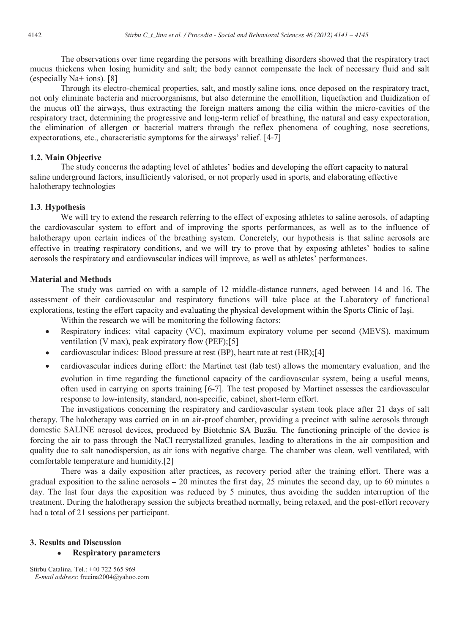The observations over time regarding the persons with breathing disorders showed that the respiratory tract mucus thickens when losing humidity and salt; the body cannot compensate the lack of necessary fluid and salt (especially Na+ ions). [8]

Through its electro-chemical properties, salt, and mostly saline ions, once deposed on the respiratory tract, not only eliminate bacteria and microorganisms, but also determine the emollition, liquefaction and fluidization of the mucus off the airways, thus extracting the foreign matters among the cilia within the micro-cavities of the respiratory tract, determining the progressive and long-term relief of breathing, the natural and easy expectoration, the elimination of allergen or bacterial matters through the reflex phenomena of coughing, nose secretions, expectorations, etc., characteristic symptoms for the airways' relief.  $[4-7]$ 

# **1.2. Main Objective**

The study concerns the adapting level of athletes' bodies and developing the effort capacity to natural saline underground factors, insufficiently valorised, or not properly used in sports, and elaborating effective halotherapy technologies

## **1.3**. **Hypothesis**

We will try to extend the research referring to the effect of exposing athletes to saline aerosols, of adapting the cardiovascular system to effort and of improving the sports performances, as well as to the influence of halotherapy upon certain indices of the breathing system. Concretely, our hypothesis is that saline aerosols are effective in treating respiratory conditions, and we will try to prove that by exposing athletes' bodies to saline aerosols the respiratory and cardiovascular indices will improve, as well as athletes' performances.

### **Material and Methods**

The study was carried on with a sample of 12 middle-distance runners, aged between 14 and 16. The assessment of their cardiovascular and respiratory functions will take place at the Laboratory of functional explorations, testing the effort capacity and evaluating the physical development within the Sports Clinic of Iasi.

Within the research we will be monitoring the following factors:

- $\bullet$ Respiratory indices: vital capacity (VC), maximum expiratory volume per second (MEVS), maximum ventilation (V max), peak expiratory flow (PEF);[5]
- cardiovascular indices: Blood pressure at rest (BP), heart rate at rest (HR);[4]  $\bullet$
- cardiovascular indices during effort: the Martinet test (lab test) allows the momentary evaluation, and the  $\bullet$ evolution in time regarding the functional capacity of the cardiovascular system, being a useful means, often used in carrying on sports training [6-7]. The test proposed by Martinet assesses the cardiovascular response to low-intensity, standard, non-specific, cabinet, short-term effort.

The investigations concerning the respiratory and cardiovascular system took place after 21 days of salt therapy. The halotherapy was carried on in an air-proof chamber, providing a precinct with saline aerosols through domestic SALINE aerosol devices, produced by Biotehnic SA Buzău. The functioning principle of the device is forcing the air to pass through the NaCl recrystallized granules, leading to alterations in the air composition and quality due to salt nanodispersion, as air ions with negative charge. The chamber was clean, well ventilated, with comfortable temperature and humidity.[2]

There was a daily exposition after practices, as recovery period after the training effort. There was a gradual exposition to the saline aerosols  $-20$  minutes the first day, 25 minutes the second day, up to 60 minutes a day. The last four days the exposition was reduced by 5 minutes, thus avoiding the sudden interruption of the treatment. During the halotherapy session the subjects breathed normally, being relaxed, and the post-effort recovery had a total of 21 sessions per participant.

# **3. Results and Discussion**

#### $\bullet$ **Respiratory parameters**

Stirbu Catalina. Tel.: +40 722 565 969  *E-mail address*: freeina2004@yahoo.com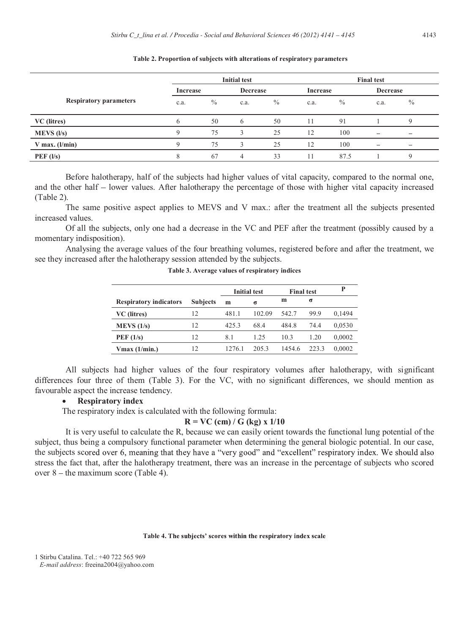|                               | <b>Initial test</b> |               |                 |      |      | <b>Final test</b> |                          |                          |  |
|-------------------------------|---------------------|---------------|-----------------|------|------|-------------------|--------------------------|--------------------------|--|
|                               | Increase            |               | <b>Decrease</b> |      |      | <b>Increase</b>   |                          | Decrease                 |  |
| <b>Respiratory parameters</b> | c.a.                | $\frac{0}{0}$ | c.a.            | $\%$ | c.a. | $\%$              | c.a.                     | $\frac{0}{0}$            |  |
| VC (litres)                   | 6                   | 50            | 6               | 50   | 11   | 91                |                          |                          |  |
| $MEVS$ ( $l/s$ )              | 9                   | 75            | 3               | 25   | 12   | 100               | $\overline{\phantom{m}}$ | $\overline{\phantom{m}}$ |  |
| $V$ max. ( $l/min$ )          | Q                   | 75            | $\mathbf 3$     | 25   | 12   | 100               |                          |                          |  |
| PEF (l/s)                     | 8                   | 67            | 4               | 33   | 11   | 87.5              |                          |                          |  |

### **Table 2. Proportion of subjects with alterations of respiratory parameters**

Before halotherapy, half of the subjects had higher values of vital capacity, compared to the normal one, and the other half – lower values. After halotherapy the percentage of those with higher vital capacity increased (Table 2).

The same positive aspect applies to MEVS and V max.: after the treatment all the subjects presented increased values.

Of all the subjects, only one had a decrease in the VC and PEF after the treatment (possibly caused by a momentary indisposition).

Analysing the average values of the four breathing volumes, registered before and after the treatment, we see they increased after the halotherapy session attended by the subjects.

|                               |                 | <b>Initial test</b> |        | <b>Final test</b> |       | P      |
|-------------------------------|-----------------|---------------------|--------|-------------------|-------|--------|
| <b>Respiratory indicators</b> | <b>Subjects</b> | m                   | σ      | m                 | σ     |        |
| VC (litres)                   | 12              | 481.1               | 102.09 | 542.7             | 99.9  | 0,1494 |
| MEVS (1/s)                    | 12              | 425.3               | 68.4   | 484.8             | 74.4  | 0,0530 |
| PEF(1/s)                      | 12.             | 8.1                 | 1.25   | 10.3              | 1.20  | 0,0002 |
| $V$ max (1/min.)              | 12              | 1276.1              | 205.3  | 1454.6            | 223.3 | 0.0002 |

**Table 3. Average values of respiratory indices** 

All subjects had higher values of the four respiratory volumes after halotherapy, with significant differences four three of them (Table 3). For the VC, with no significant differences, we should mention as favourable aspect the increase tendency.

### **Respiratory index**

The respiratory index is calculated with the following formula:

### **R = VC (cm) / G (kg) x 1/10**

It is very useful to calculate the R, because we can easily orient towards the functional lung potential of the subject, thus being a compulsory functional parameter when determining the general biologic potential. In our case, the subjects scored over 6, meaning that they have a "very good" and "excellent" respiratory index. We should also stress the fact that, after the halotherapy treatment, there was an increase in the percentage of subjects who scored over  $8$  – the maximum score (Table 4).

### Table 4. The subjects' scores within the respiratory index scale

1 Stirbu Catalina. Tel.: +40 722 565 969  *E-mail address*: freeina2004@yahoo.com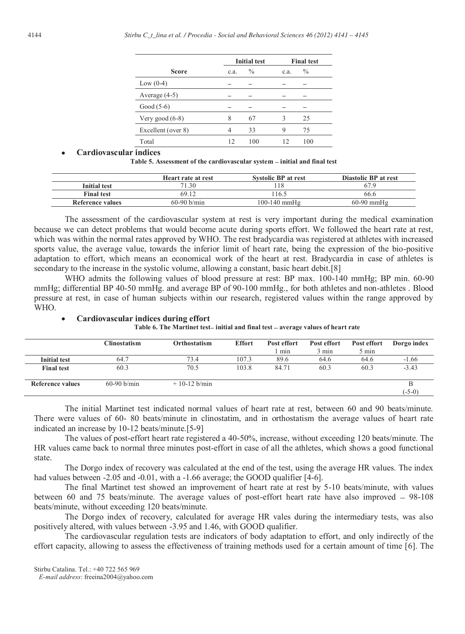|                    |      | <b>Initial test</b> |      | <b>Final test</b> |  |  |
|--------------------|------|---------------------|------|-------------------|--|--|
| <b>Score</b>       | c.a. | $\frac{0}{0}$       | c.a. | $\frac{0}{0}$     |  |  |
| Low $(0-4)$        |      |                     |      |                   |  |  |
| Average $(4-5)$    |      |                     |      |                   |  |  |
| Good $(5-6)$       |      |                     |      |                   |  |  |
| Very good $(6-8)$  | 8    | 67                  | 3    | 25                |  |  |
| Excellent (over 8) | 4    | 33                  | 9    | 75                |  |  |
| Total              | 12   | 100                 | 12   | 100               |  |  |

### **Cardiovascular indices**

Table 5. Assessment of the cardiovascular system - initial and final test

|                     | Heart rate at rest | <b>Systolic BP at rest</b> | Diastolic BP at rest |
|---------------------|--------------------|----------------------------|----------------------|
| <b>Initial test</b> | 71.30              |                            |                      |
| <b>Final test</b>   | 69.12              | 116.5                      | 66.6                 |
| Reference values    | $60-90$ b/min      | 100-140 mmHg               | $60-90$ mmHg         |

The assessment of the cardiovascular system at rest is very important during the medical examination because we can detect problems that would become acute during sports effort. We followed the heart rate at rest, which was within the normal rates approved by WHO. The rest bradycardia was registered at athletes with increased sports value, the average value, towards the inferior limit of heart rate, being the expression of the bio-positive adaptation to effort, which means an economical work of the heart at rest. Bradycardia in case of athletes is secondary to the increase in the systolic volume, allowing a constant, basic heart debit.[8]

WHO admits the following values of blood pressure at rest: BP max. 100-140 mmHg; BP min. 60-90 mmHg; differential BP 40-50 mmHg. and average BP of 90-100 mmHg., for both athletes and non-athletes . Blood pressure at rest, in case of human subjects within our research, registered values within the range approved by WHO.

|                     | Clinostatism  | Orthostatism   | <b>Effort</b> | Post effort<br>min | Post effort<br>3 min | Post effort<br>5 min | Dorgo index |
|---------------------|---------------|----------------|---------------|--------------------|----------------------|----------------------|-------------|
| <b>Initial test</b> | 64.7          | 73.4           | 107.3         | 89.6               | 64.6                 | 64.6                 | $-1.66$     |
| <b>Final test</b>   | 60.3          | 70.5           | 103.8         | 84.71              | 60.3                 | 60.3                 | $-3.43$     |
| Reference values    | $60-90 b/min$ | $+10-12$ b/min |               |                    |                      |                      | $(-5-0)$    |

**Cardiovascular indices during effort**  Table 6. The Martinet test-initial and final test - average values of heart rate

 The initial Martinet test indicated normal values of heart rate at rest, between 60 and 90 beats/minute. There were values of 60- 80 beats/minute in clinostatim, and in orthostatism the average values of heart rate indicated an increase by 10-12 beats/minute.[5-9]

 The values of post-effort heart rate registered a 40-50%, increase, without exceeding 120 beats/minute. The HR values came back to normal three minutes post-effort in case of all the athletes, which shows a good functional state.

The Dorgo index of recovery was calculated at the end of the test, using the average HR values. The index had values between -2.05 and -0.01, with a -1.66 average; the GOOD qualifier [4-6].

The final Martinet test showed an improvement of heart rate at rest by 5-10 beats/minute, with values between 60 and 75 beats/minute. The average values of post-effort heart rate have also improved  $-98-108$ beats/minute, without exceeding 120 beats/minute.

The Dorgo index of recovery, calculated for average HR vales during the intermediary tests, was also positively altered, with values between -3.95 and 1.46, with GOOD qualifier.

The cardiovascular regulation tests are indicators of body adaptation to effort, and only indirectly of the effort capacity, allowing to assess the effectiveness of training methods used for a certain amount of time [6]. The